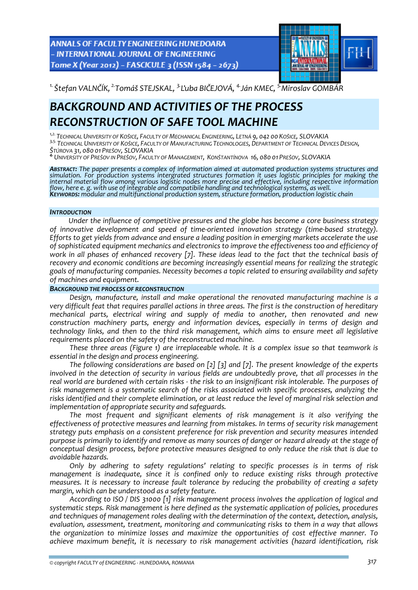ANNALS OF FACULTY ENGINEERING HUNEDOARA - INTERNATIONAL JOURNAL OF ENGINEERING Tome X (Year 2012) - FASCICULE 3 (ISSN 1584 - 2673)



*1. Štefan VALNČÍK, 2.Tomáš STEJSKAL, 3.Ľuba BIČEJOVÁ, 4.Ján KMEC, 5.Miroslav GOMBÁR* 

# *BACKGROUND AND ACTIVITIES OF THE PROCESS RECONSTRUCTION OF SAFE TOOL MACHINE*

*1,2. TECHNICAL UNIVERSITY OF KOŠICE, FACULTY OF MECHANICAL ENGINEERING, LETNÁ 9, 042 00 KOŠICE, SLOVAKIA*

3,5. TECHNICAL UNIVERSITY OF KOŠICE, FACULTY OF MANUFACTURING TECHNOLOGIES, DEPARTMENT OF TECHNICAL DEVICES DESIGN,<br>ŠTÚROVA 31, 080 01 PREŠOV, SLOVAKIA<br><sup>4.</sup> UNIVERSITY OF PREŠOV IN PREŠOV. FACULTY OF MANAGEMENT, KONŠTANTÍN

*ABSTRACT: The paper presents a complex of information aimed at automated production systems structures and simulation. For production systems intergrated structures formation it uses logistic principles for making the* internal material flow among various logistic nodes more precise and effective, including respective information<br>flow, here e. g. with use of integrable and compatibile handling and technological systems, as well.<br>**K**ey**wo** 

# *INTRODUCTION*

*Under the influence of competitive pressures and the globe has become a core business strategy of innovative development and speed of time‐oriented innovation strategy (time‐based strategy). Efforts to get yields from advance and ensure a leading position in emerging markets accelerate the use of sophisticated equipment mechanics and electronics to improve the effectiveness too and efficiency of* work in all phases of enhanced recovery [7]. These ideas lead to the fact that the technical basis of *recovery and economic conditions are becoming increasingly essential means for realizing the strategic goals of manufacturing companies. Necessity becomes a topic related to ensuring availability and safety of machines and equipment.*

# *BACKGROUND THE PROCESS OF RECONSTRUCTION*

*Design, manufacture, install and make operational the renovated manufacturing machine is a* very difficult feat that requires parallel actions in three areas. The first is the construction of hereditary *mechanical parts, electrical wiring and supply of media to another, then renovated and new construction machinery parts, energy and information devices, especially in terms of design and technology links, and then to the third risk management, which aims to ensure meet all legislative requirements placed on the safety of the reconstructed machine.*

*These three areas (Figure 1) are irreplaceable whole. It is a complex issue so that teamwork is essential in the design and process engineering.*

*The following considerations are based on [2] [3] and [7]. The present knowledge of the experts involved in the detection of security in various fields are undoubtedly prove, that all processes in the* real world are burdened with certain risks - the risk to an insignificant risk intolerable. The purposes of *risk management is a systematic search of the risks associated with specific processes, analyzing the* risks identified and their complete elimination, or at least reduce the level of marginal risk selection and *implementation of appropriate security and safeguards.*

*The most frequent and significant elements of risk management is it also verifying the effectiveness of protective measures and learning from mistakes. In terms of security risk management strategy puts emphasis on a consistent preference for risk prevention and security measures intended* purpose is primarily to identify and remove as many sources of danger or hazard already at the stage of *conceptual design process, before protective measures designed to only reduce the risk that is due to avoidable hazards.*

*Only by adhering to safety regulations' relating to specific processes is in terms of risk management is inadequate, since it is confined only to reduce existing risks through protective measures. It is necessary to increase fault tolerance by reducing the probability of creating a safety margin, which can be understood as a safety feature.*

*According to ISO / DIS 31000 [1] risk management process involves the application of logical and systematic steps. Risk management is here defined as the systematic application of policies, procedures and techniques of management roles dealing with the determination of the context, detection, analysis, evaluation, assessment, treatment, monitoring and communicating risks to them in a way that allows the organization to minimize losses and maximize the opportunities of cost effective manner. To achieve maximum benefit, it is necessary to risk management activities (hazard identification, risk*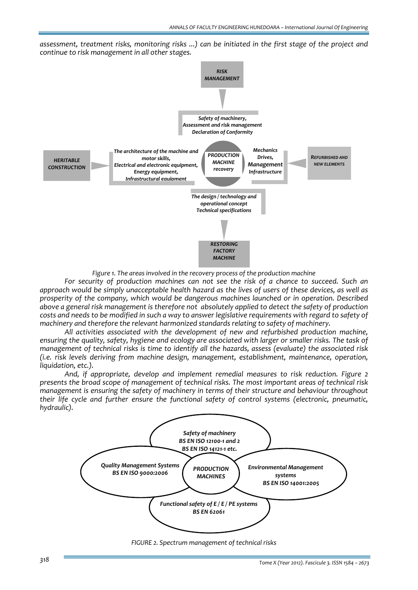*assessment, treatment risks, monitoring risks ...) can be initiated in the first stage of the project and continue to risk management in all other stages.*



*Figure 1. The areas involved in the recovery process of the production machine*

*For security of production machines can not see the risk of a chance to succeed. Such an* approach would be simply unacceptable health hazard as the lives of users of these devices, as well as *prosperity of the company, which would be dangerous machines launched or in operation. Described above a general risk management is therefore not absolutely applied to detect the safety of production* costs and needs to be modified in such a way to answer legislative requirements with regard to safety of *machinery and therefore the relevant harmonized standards relating to safety of machinery.*

*All activities associated with the development of new and refurbished production machine,* ensuring the quality, safety, hygiene and ecology are associated with larger or smaller risks. The task of *management of technical risks is time to identify all the hazards, assess (evaluate) the associated risk (i.e. risk levels deriving from machine design, management, establishment, maintenance, operation, liquidation, etc.).*

 *And, if appropriate, develop and implement remedial measures to risk reduction. Figure 2 presents the broad scope of management of technical risks. The most important areas of technical risk management is ensuring the safety of machinery in terms of their structure and behaviour throughout their life cycle and further ensure the functional safety of control systems (electronic, pneumatic, hydraulic).*



*FIGURE 2. Spectrum management of technical risks*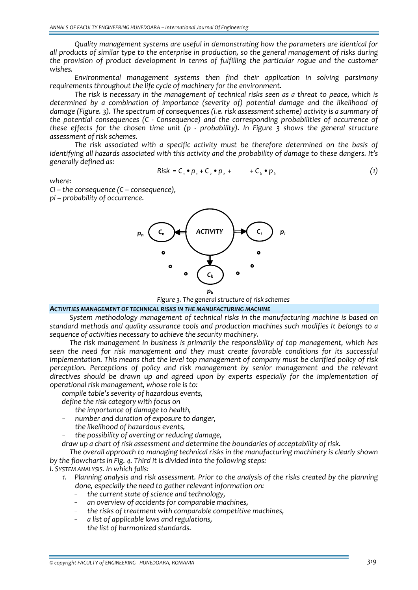*Quality management systems are useful in demonstrating how the parameters are identical for all products of similar type to the enterprise in production, so the general management of risks during the provision of product development in terms of fulfilling the particular rogue and the customer wishes.*

*Environmental management systems then find their application in solving parsimony requirements throughout the life cycle of machinery for the environment.*

*The risk is necessary in the management of technical risks seen as a threat to peace, which is determined by a combination of importance (severity of) potential damage and the likelihood of damage (Figure. 3). The spectrum of consequences (i.e. risk assessment scheme) activity is a summary of the potential consequences (C ‐ Consequence) and the corresponding probabilities of occurrence of these effects for the chosen time unit (p ‐ probability). In Figure 3 shows the general structure assessment of risk schemes.* 

*The risk associated with a specific activity must be therefore determined on the basis of identifying all hazards associated with this activity and the probability of damage to these dangers. It's generally defined as:* 

$$
Risk = C_1 \cdot p_1 + C_2 \cdot p_2 + \cdots + C_k \cdot p_k \tag{1}
$$

*where:*

*Ci – the consequence (C – consequence), pi – probability of occurrence.*



*Figure 3. The general structure of risk schemes*

#### *ACTIVITIES MANAGEMENT OF TECHNICAL RISKS IN THE MANUFACTURING MACHINE*

*System methodology management of technical risks in the manufacturing machine is based on standard methods and quality assurance tools and production machines such modifies It belongs to a sequence of activities necessary to achieve the security machinery.*

*The risk management in business is primarily the responsibility of top management, which has seen the need for risk management and they must create favorable conditions for its successful implementation. This means that the level top management of company must be clarified policy of risk perception. Perceptions of policy and risk management by senior management and the relevant directives should be drawn up and agreed upon by experts especially for the implementation of operational risk management, whose role is to:*

*compile table's severity of hazardous events,*

*define the risk category with focus on*

- *the importance of damage to health,*
- *number and duration of exposure to danger,*
- *the likelihood of hazardous events,*
- *the possibility of averting or reducing damage,*

*draw up a chart of risk assessment and determine the boundaries of acceptability of risk.*

*The overall approach to managing technical risks in the manufacturing machinery is clearly shown by the flowcharts in Fig. 4. Third it is divided into the following steps:*

*I. SYSTEM ANALYSIS. In which falls:*

- *1. Planning analysis and risk assessment. Prior to the analysis of the risks created by the planning done, especially the need to gather relevant information on:*
	- *the current state of science and technology,*
	- *an overview of accidents for comparable machines,*
	- *the risks of treatment with comparable competitive machines,*
	- *a list of applicable laws and regulations,*
	- *the list of harmonized standards.*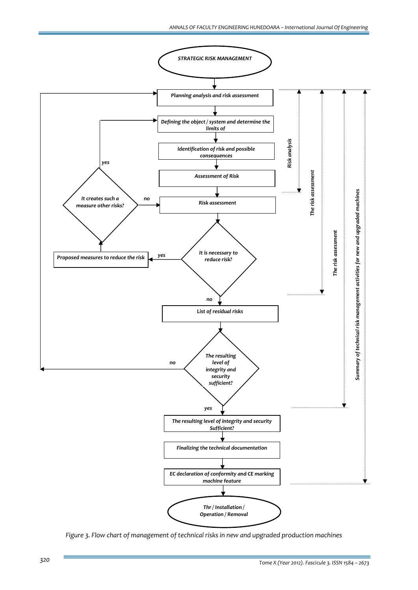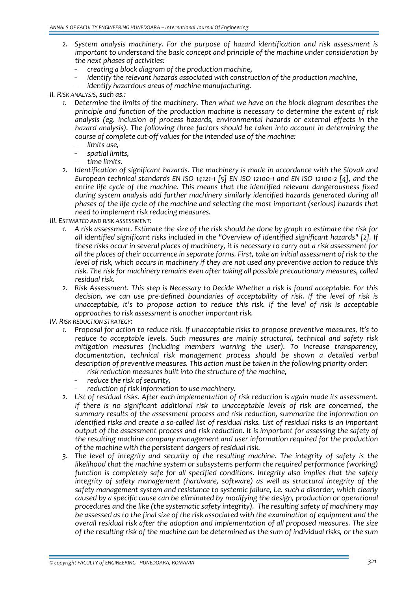- *2. System analysis machinery. For the purpose of hazard identification and risk assessment is important to understand the basic concept and principle of the machine under consideration by the next phases of activities:*
	- *creating a block diagram of the production machine,*
	- *identify the relevant hazards associated with construction of the production machine,*
	- *identify hazardous areas of machine manufacturing.*
- *II. RISK ANALYSIS, such as.:*
	- *1. Determine the limits of the machinery. Then what we have on the block diagram describes the principle and function of the production machine is necessary to determine the extent of risk analysis (eg. inclusion of process hazards, environmental hazards or external effects in the hazard analysis). The following three factors should be taken into account in determining the course of complete cut‐off values for the intended use of the machine:*
		- *limits use,*
		- *spatial limits,*
		- *time limits.*
	- *2. Identification of significant hazards. The machinery is made in accordance with the Slovak and* European technical standards EN ISO 14121-1 [5] EN ISO 12100-1 and EN ISO 12100-2 [4], and the *entire life cycle of the machine. This means that the identified relevant dangerousness fixed during system analysis add further machinery similarly identified hazards generated during all phases of the life cycle of the machine and selecting the most important (serious) hazards that need to implement risk reducing measures.*

*III. ESTIMATED AND RISK ASSESSMENT:*

- 1. A risk assessment. Estimate the size of the risk should be done by graph to estimate the risk for *all identified significant risks included in the "Overview of identified significant hazards" [2]. If* these risks occur in several places of machinery, it is necessary to carry out a risk assessment for all the places of their occurrence in separate forms. First, take an initial assessment of risk to the *level of risk, which occurs in machinery if they are not used any preventive action to reduce this risk. The risk for machinery remains even after taking all possible precautionary measures, called residual risk.*
- *2. Risk Assessment. This step is Necessary to Decide Whether a risk is found acceptable. For this decision, we can use pre‐defined boundaries of acceptability of risk. If the level of risk is unacceptable, it's to propose action to reduce this risk. If the level of risk is acceptable approaches to risk assessment is another important risk.*

*IV. RISK REDUCTION STRATEGY:*

- *1. Proposal for action to reduce risk. If unacceptable risks to propose preventive measures, it's to reduce to acceptable levels. Such measures are mainly structural, technical and safety risk mitigation measures (including members warning the user). To increase transparency, documentation, technical risk management process should be shown a detailed verbal description of preventive measures. This action must be taken in the following priority order:*
	- *risk reduction measures built into the structure of the machine,*
	- *reduce the risk of security,*
	- *reduction of risk information to use machinery.*
- *2. List of residual risks. After each implementation of risk reduction is again made its assessment. If there is no significant additional risk to unacceptable levels of risk are concerned, the summary results of the assessment process and risk reduction, summarize the information on* identified risks and create a so-called list of residual risks. List of residual risks is an important *output of the assessment process and risk reduction. It is important for assessing the safety of the resulting machine company management and user information required for the production of the machine with the persistent dangers of residual risk.*
- *3. The level of integrity and security of the resulting machine. The integrity of safety is the likelihood that the machine system or subsystems perform the required performance (working) function is completely safe for all specified conditions. Integrity also implies that the safety integrity of safety management (hardware, software) as well as structural integrity of the safety management system and resistance to systemic failure, i.e. such a disorder, which clearly caused by a specific cause can be eliminated by modifying the design, production or operational procedures and the like (the systematic safety integrity). The resulting safety of machinery may be assessed as to the final size of the risk associated with the examination of equipment and the overall residual risk after the adoption and implementation of all proposed measures. The size* of the resulting risk of the machine can be determined as the sum of individual risks, or the sum